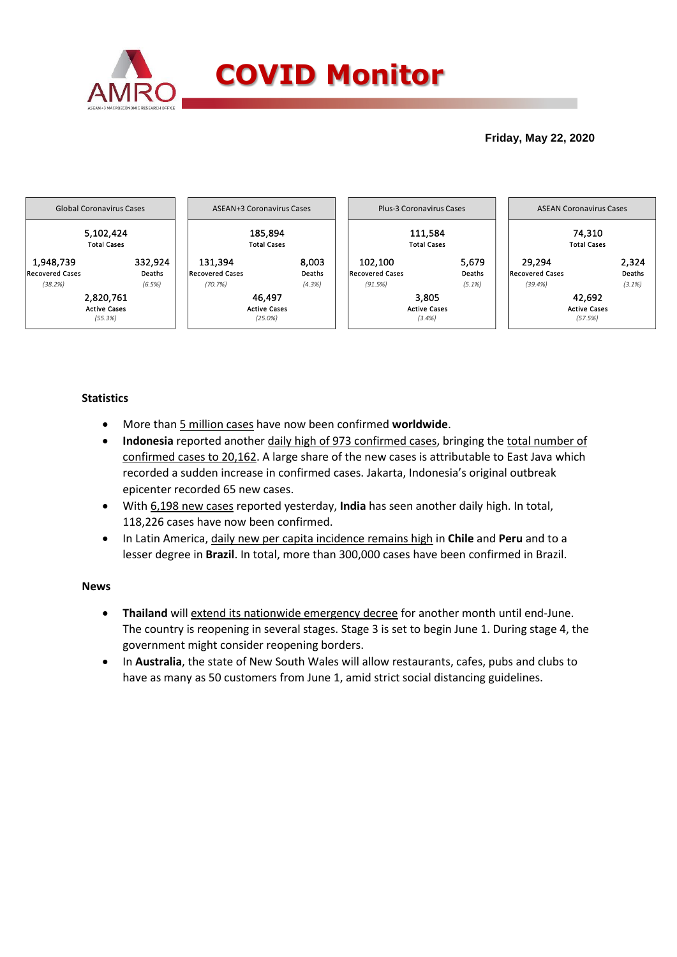

### **Friday, May 22, 2020**



## **Statistics**

- More than 5 million cases have now been confirmed **worldwide**.
- **Indonesia** reported another daily high of 973 confirmed cases, bringing the total number of confirmed cases to 20,162. A large share of the new cases is attributable to East Java which recorded a sudden increase in confirmed cases. Jakarta, Indonesia's original outbreak epicenter recorded 65 new cases.
- With 6,198 new cases reported yesterday, **India** has seen another daily high. In total, 118,226 cases have now been confirmed.
- In Latin America, daily new per capita incidence remains high in **Chile** and **Peru** and to a lesser degree in **Brazil**. In total, more than 300,000 cases have been confirmed in Brazil.

#### **News**

- **Thailand** will extend its nationwide emergency decree for another month until end-June. The country is reopening in several stages. Stage 3 is set to begin June 1. During stage 4, the government might consider reopening borders.
- In **Australia**, the state of New South Wales will allow restaurants, cafes, pubs and clubs to have as many as 50 customers from June 1, amid strict social distancing guidelines.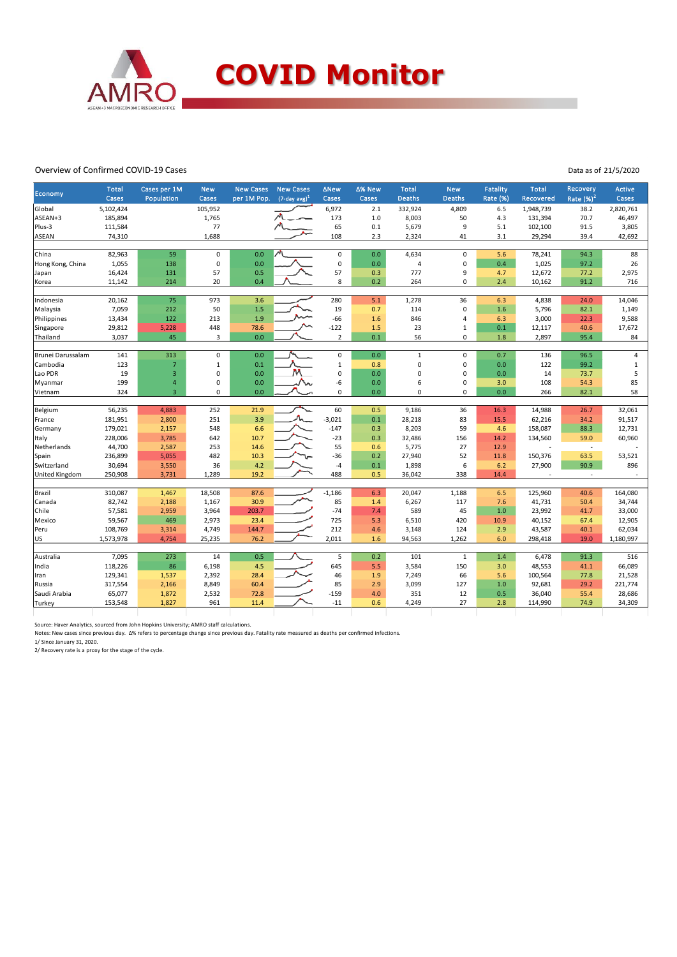

#### Overview of Confirmed COVID-19 Cases

Data as of 21/5/2020

| Rate $(\%)^2$<br>Cases<br>Population<br>$(7$ -day avg) <sup>1</sup><br>Cases<br><b>Deaths</b><br><b>Deaths</b><br>Rate (%)<br>Cases<br>per 1M Pop.<br>Cases<br>Recovered<br>Cases<br>5,102,424<br>105,952<br>6,972<br>332,924<br>4,809<br>1,948,739<br>2,820,761<br>Global<br>2.1<br>6.5<br>38.2<br>ASEAN+3<br>185,894<br>1,765<br>173<br>1.0<br>8,003<br>50<br>4.3<br>131,394<br>70.7<br>46,497<br>77<br>9<br>Plus-3<br>111,584<br>65<br>0.1<br>5,679<br>5.1<br>102,100<br>91.5<br>3,805<br>1,688<br>108<br>2.3<br>3.1<br>29,294<br>ASEAN<br>74,310<br>2,324<br>41<br>39.4<br>42,692<br>59<br>82,963<br>$\mathsf 0$<br>0.0<br>$\mathsf 0$<br>0.0<br>4,634<br>$\mathsf 0$<br>5.6<br>78,241<br>94.3<br>88<br>China<br>$\pmb{0}$<br>$\pmb{0}$<br>1,055<br>138<br>0.0<br>0.0<br>$\mathbf 0$<br>0.4<br>1,025<br>97.2<br>26<br>Hong Kong, China<br>4<br>57<br>57<br>0.5<br>777<br>9<br>12,672<br>2,975<br>16,424<br>131<br>0.3<br>77.2<br>Japan<br>4.7<br>8<br>0.2<br>214<br>20<br>0.4<br>264<br>$\mathbf 0$<br>2.4<br>91.2<br>716<br>Korea<br>11,142<br>10,162<br>75<br>3.6<br>280<br>Indonesia<br>20,162<br>973<br>5.1<br>1,278<br>36<br>6.3<br>4,838<br>24.0<br>14,046<br>$\mathbf 0$<br>7,059<br>212<br>50<br>1.5<br>19<br>0.7<br>1.6<br>5,796<br>82.1<br>1,149<br>Malaysia<br>114<br>122<br>1.9<br>$-66$<br>Philippines<br>13,434<br>213<br>1.6<br>846<br>$\overline{4}$<br>6.3<br>3,000<br>22.3<br>9,588<br>23<br>$1\,$<br>29,812<br>5,228<br>448<br>78.6<br>$-122$<br>1.5<br>0.1<br>12,117<br>40.6<br>17,672<br>Singapore<br>45<br>0.0<br>$\overline{2}$<br>0.1<br>56<br>$\mathbf 0$<br>2,897<br>95.4<br>Thailand<br>3,037<br>3<br>1.8<br>84<br>313<br>$\pmb{0}$<br>0.0<br>$\mathsf 0$<br>0.0<br>$\mathbf 1$<br>$\pmb{0}$<br>0.7<br>96.5<br>Brunei Darussalam<br>141<br>136<br>$\overline{\mathbf{4}}$<br>$\mathbf 0$<br>$\pmb{0}$<br>123<br>$\overline{7}$<br>$\mathbf 1$<br>0.1<br>$\mathbf 1$<br>0.0<br>122<br>99.2<br>$\,1\,$<br>Cambodia<br>0.8<br>M<br>19<br>3<br>$\pmb{0}$<br>0.0<br>0<br>0.0<br>$\mathbf 0$<br>$\mathbf 0$<br>14<br>5<br>Lao PDR<br>0.0<br>73.7<br>6<br>$\mathbf 0$<br>85<br>199<br>$\pmb{0}$<br>0.0<br>-6<br>0.0<br>108<br>54.3<br>Myanmar<br>$\overline{4}$<br>3.0<br>58<br>324<br>$\overline{3}$<br>$\mathbf 0$<br>0.0<br>$\mathbf 0$<br>0.0<br>$\mathbf 0$<br>$\mathbf 0$<br>0.0<br>82.1<br>266<br>Vietnam<br>56,235<br>60<br>36<br>Belgium<br>252<br>21.9<br>0.5<br>9,186<br>32,061<br>4,883<br>16.3<br>14,988<br>26.7<br>3.9<br>$-3,021$<br>181,951<br>251<br>0.1<br>28,218<br>83<br>15.5<br>62,216<br>34.2<br>91,517<br>2,800<br>France<br>6.6<br>59<br>179,021<br>2,157<br>548<br>$-147$<br>0.3<br>8,203<br>4.6<br>158,087<br>88.3<br>12,731<br>Germany<br>228,006<br>3,785<br>642<br>10.7<br>$-23$<br>0.3<br>32,486<br>156<br>59.0<br>60,960<br>14.2<br>134,560<br>Italy<br>44,700<br>14.6<br>55<br>27<br>Netherlands<br>2,587<br>253<br>0.6<br>5,775<br>12.9<br>÷,<br>236,899<br>5,055<br>482<br>10.3<br>$-36$<br>0.2<br>27,940<br>52<br>150,376<br>63.5<br>53,521<br>Spain<br>11.8<br>Switzerland<br>30,694<br>36<br>4.2<br>0.1<br>1,898<br>6<br>27,900<br>90.9<br>896<br>3,550<br>$-4$<br>6.2<br>488<br><b>United Kingdom</b><br>250,908<br>3,731<br>1,289<br>19.2<br>0.5<br>36,042<br>338<br>14.4<br>$\sim$<br>87.6<br>Brazil<br>310,087<br>1,467<br>18,508<br>$-1,186$<br>20,047<br>1,188<br>6.5<br>125,960<br>164,080<br>6.3<br>40.6<br>82,742<br>30.9<br>85<br>Canada<br>2,188<br>1,167<br>6,267<br>117<br>7.6<br>41,731<br>50.4<br>34,744<br>1.4<br>$-74$<br>57,581<br>2,959<br>3,964<br>203.7<br>7.4<br>589<br>45<br>1.0<br>23,992<br>41.7<br>33,000<br>Chile<br>59,567<br>469<br>2,973<br>23.4<br>725<br>5.3<br>40,152<br>12,905<br>6,510<br>420<br>10.9<br>67.4<br>Mexico<br>108,769<br>4,749<br>144.7<br>212<br>Peru<br>4.6<br>3,148<br>124<br>2.9<br>43,587<br>40.1<br>62,034<br>3,314<br>76.2<br>US<br>25,235<br>2,011<br>94,563<br>1,262<br>6.0<br>19.0<br>1,180,997<br>1,573,978<br>4,754<br>1.6<br>298,418<br>7,095<br>273<br>0.5<br>5<br>6,478<br>91.3<br>516<br>Australia<br>14<br>0.2<br>101<br>$\mathbf{1}$<br>1.4<br>645<br>India<br>118,226<br>86<br>6,198<br>4.5<br>5.5<br>3,584<br>150<br>48,553<br>66,089<br>3.0<br>41.1<br>28.4<br>46<br>7,249<br>129,341<br>1,537<br>2,392<br>1.9<br>66<br>5.6<br>100,564<br>77.8<br>21,528<br>Iran<br>2.9<br>317,554<br>2,166<br>8,849<br>60.4<br>85<br>3,099<br>92,681<br>29.2<br>221,774<br>Russia<br>127<br>1.0<br>Saudi Arabia<br>65,077<br>72.8<br>$-159$<br>4.0<br>351<br>12<br>36,040<br>55.4<br>28,686<br>1,872<br>2,532<br>0.5<br>$-11$<br>4,249<br>27<br>153,548<br>1,827<br>961<br>11.4<br>0.6<br>2.8<br>114,990<br>74.9<br>34,309<br>Turkey | Economy | <b>Total</b> | Cases per 1M | <b>New</b> | <b>New Cases</b> | <b>New Cases</b> | ∆New | ∆% New | <b>Total</b> | <b>New</b> | <b>Fatality</b> | <b>Total</b> | <b>Recovery</b> | <b>Active</b> |
|---------------------------------------------------------------------------------------------------------------------------------------------------------------------------------------------------------------------------------------------------------------------------------------------------------------------------------------------------------------------------------------------------------------------------------------------------------------------------------------------------------------------------------------------------------------------------------------------------------------------------------------------------------------------------------------------------------------------------------------------------------------------------------------------------------------------------------------------------------------------------------------------------------------------------------------------------------------------------------------------------------------------------------------------------------------------------------------------------------------------------------------------------------------------------------------------------------------------------------------------------------------------------------------------------------------------------------------------------------------------------------------------------------------------------------------------------------------------------------------------------------------------------------------------------------------------------------------------------------------------------------------------------------------------------------------------------------------------------------------------------------------------------------------------------------------------------------------------------------------------------------------------------------------------------------------------------------------------------------------------------------------------------------------------------------------------------------------------------------------------------------------------------------------------------------------------------------------------------------------------------------------------------------------------------------------------------------------------------------------------------------------------------------------------------------------------------------------------------------------------------------------------------------------------------------------------------------------------------------------------------------------------------------------------------------------------------------------------------------------------------------------------------------------------------------------------------------------------------------------------------------------------------------------------------------------------------------------------------------------------------------------------------------------------------------------------------------------------------------------------------------------------------------------------------------------------------------------------------------------------------------------------------------------------------------------------------------------------------------------------------------------------------------------------------------------------------------------------------------------------------------------------------------------------------------------------------------------------------------------------------------------------------------------------------------------------------------------------------------------------------------------------------------------------------------------------------------------------------------------------------------------------------------------------------------------------------------------------------------------------------------------------------------------------------------------------------------------------------------------------------------------------------------------------------------------------------------------------------------------------------------------------------------------------------------------------------------------------------------------------------------------------------------------------------------------------------------------------------------------------------------------------------------------------------------------------------------------------------------------------------------------------------------|---------|--------------|--------------|------------|------------------|------------------|------|--------|--------------|------------|-----------------|--------------|-----------------|---------------|
|                                                                                                                                                                                                                                                                                                                                                                                                                                                                                                                                                                                                                                                                                                                                                                                                                                                                                                                                                                                                                                                                                                                                                                                                                                                                                                                                                                                                                                                                                                                                                                                                                                                                                                                                                                                                                                                                                                                                                                                                                                                                                                                                                                                                                                                                                                                                                                                                                                                                                                                                                                                                                                                                                                                                                                                                                                                                                                                                                                                                                                                                                                                                                                                                                                                                                                                                                                                                                                                                                                                                                                                                                                                                                                                                                                                                                                                                                                                                                                                                                                                                                                                                                                                                                                                                                                                                                                                                                                                                                                                                                                                                                                                         |         |              |              |            |                  |                  |      |        |              |            |                 |              |                 |               |
|                                                                                                                                                                                                                                                                                                                                                                                                                                                                                                                                                                                                                                                                                                                                                                                                                                                                                                                                                                                                                                                                                                                                                                                                                                                                                                                                                                                                                                                                                                                                                                                                                                                                                                                                                                                                                                                                                                                                                                                                                                                                                                                                                                                                                                                                                                                                                                                                                                                                                                                                                                                                                                                                                                                                                                                                                                                                                                                                                                                                                                                                                                                                                                                                                                                                                                                                                                                                                                                                                                                                                                                                                                                                                                                                                                                                                                                                                                                                                                                                                                                                                                                                                                                                                                                                                                                                                                                                                                                                                                                                                                                                                                                         |         |              |              |            |                  |                  |      |        |              |            |                 |              |                 |               |
|                                                                                                                                                                                                                                                                                                                                                                                                                                                                                                                                                                                                                                                                                                                                                                                                                                                                                                                                                                                                                                                                                                                                                                                                                                                                                                                                                                                                                                                                                                                                                                                                                                                                                                                                                                                                                                                                                                                                                                                                                                                                                                                                                                                                                                                                                                                                                                                                                                                                                                                                                                                                                                                                                                                                                                                                                                                                                                                                                                                                                                                                                                                                                                                                                                                                                                                                                                                                                                                                                                                                                                                                                                                                                                                                                                                                                                                                                                                                                                                                                                                                                                                                                                                                                                                                                                                                                                                                                                                                                                                                                                                                                                                         |         |              |              |            |                  |                  |      |        |              |            |                 |              |                 |               |
|                                                                                                                                                                                                                                                                                                                                                                                                                                                                                                                                                                                                                                                                                                                                                                                                                                                                                                                                                                                                                                                                                                                                                                                                                                                                                                                                                                                                                                                                                                                                                                                                                                                                                                                                                                                                                                                                                                                                                                                                                                                                                                                                                                                                                                                                                                                                                                                                                                                                                                                                                                                                                                                                                                                                                                                                                                                                                                                                                                                                                                                                                                                                                                                                                                                                                                                                                                                                                                                                                                                                                                                                                                                                                                                                                                                                                                                                                                                                                                                                                                                                                                                                                                                                                                                                                                                                                                                                                                                                                                                                                                                                                                                         |         |              |              |            |                  |                  |      |        |              |            |                 |              |                 |               |
|                                                                                                                                                                                                                                                                                                                                                                                                                                                                                                                                                                                                                                                                                                                                                                                                                                                                                                                                                                                                                                                                                                                                                                                                                                                                                                                                                                                                                                                                                                                                                                                                                                                                                                                                                                                                                                                                                                                                                                                                                                                                                                                                                                                                                                                                                                                                                                                                                                                                                                                                                                                                                                                                                                                                                                                                                                                                                                                                                                                                                                                                                                                                                                                                                                                                                                                                                                                                                                                                                                                                                                                                                                                                                                                                                                                                                                                                                                                                                                                                                                                                                                                                                                                                                                                                                                                                                                                                                                                                                                                                                                                                                                                         |         |              |              |            |                  |                  |      |        |              |            |                 |              |                 |               |
|                                                                                                                                                                                                                                                                                                                                                                                                                                                                                                                                                                                                                                                                                                                                                                                                                                                                                                                                                                                                                                                                                                                                                                                                                                                                                                                                                                                                                                                                                                                                                                                                                                                                                                                                                                                                                                                                                                                                                                                                                                                                                                                                                                                                                                                                                                                                                                                                                                                                                                                                                                                                                                                                                                                                                                                                                                                                                                                                                                                                                                                                                                                                                                                                                                                                                                                                                                                                                                                                                                                                                                                                                                                                                                                                                                                                                                                                                                                                                                                                                                                                                                                                                                                                                                                                                                                                                                                                                                                                                                                                                                                                                                                         |         |              |              |            |                  |                  |      |        |              |            |                 |              |                 |               |
|                                                                                                                                                                                                                                                                                                                                                                                                                                                                                                                                                                                                                                                                                                                                                                                                                                                                                                                                                                                                                                                                                                                                                                                                                                                                                                                                                                                                                                                                                                                                                                                                                                                                                                                                                                                                                                                                                                                                                                                                                                                                                                                                                                                                                                                                                                                                                                                                                                                                                                                                                                                                                                                                                                                                                                                                                                                                                                                                                                                                                                                                                                                                                                                                                                                                                                                                                                                                                                                                                                                                                                                                                                                                                                                                                                                                                                                                                                                                                                                                                                                                                                                                                                                                                                                                                                                                                                                                                                                                                                                                                                                                                                                         |         |              |              |            |                  |                  |      |        |              |            |                 |              |                 |               |
|                                                                                                                                                                                                                                                                                                                                                                                                                                                                                                                                                                                                                                                                                                                                                                                                                                                                                                                                                                                                                                                                                                                                                                                                                                                                                                                                                                                                                                                                                                                                                                                                                                                                                                                                                                                                                                                                                                                                                                                                                                                                                                                                                                                                                                                                                                                                                                                                                                                                                                                                                                                                                                                                                                                                                                                                                                                                                                                                                                                                                                                                                                                                                                                                                                                                                                                                                                                                                                                                                                                                                                                                                                                                                                                                                                                                                                                                                                                                                                                                                                                                                                                                                                                                                                                                                                                                                                                                                                                                                                                                                                                                                                                         |         |              |              |            |                  |                  |      |        |              |            |                 |              |                 |               |
|                                                                                                                                                                                                                                                                                                                                                                                                                                                                                                                                                                                                                                                                                                                                                                                                                                                                                                                                                                                                                                                                                                                                                                                                                                                                                                                                                                                                                                                                                                                                                                                                                                                                                                                                                                                                                                                                                                                                                                                                                                                                                                                                                                                                                                                                                                                                                                                                                                                                                                                                                                                                                                                                                                                                                                                                                                                                                                                                                                                                                                                                                                                                                                                                                                                                                                                                                                                                                                                                                                                                                                                                                                                                                                                                                                                                                                                                                                                                                                                                                                                                                                                                                                                                                                                                                                                                                                                                                                                                                                                                                                                                                                                         |         |              |              |            |                  |                  |      |        |              |            |                 |              |                 |               |
|                                                                                                                                                                                                                                                                                                                                                                                                                                                                                                                                                                                                                                                                                                                                                                                                                                                                                                                                                                                                                                                                                                                                                                                                                                                                                                                                                                                                                                                                                                                                                                                                                                                                                                                                                                                                                                                                                                                                                                                                                                                                                                                                                                                                                                                                                                                                                                                                                                                                                                                                                                                                                                                                                                                                                                                                                                                                                                                                                                                                                                                                                                                                                                                                                                                                                                                                                                                                                                                                                                                                                                                                                                                                                                                                                                                                                                                                                                                                                                                                                                                                                                                                                                                                                                                                                                                                                                                                                                                                                                                                                                                                                                                         |         |              |              |            |                  |                  |      |        |              |            |                 |              |                 |               |
|                                                                                                                                                                                                                                                                                                                                                                                                                                                                                                                                                                                                                                                                                                                                                                                                                                                                                                                                                                                                                                                                                                                                                                                                                                                                                                                                                                                                                                                                                                                                                                                                                                                                                                                                                                                                                                                                                                                                                                                                                                                                                                                                                                                                                                                                                                                                                                                                                                                                                                                                                                                                                                                                                                                                                                                                                                                                                                                                                                                                                                                                                                                                                                                                                                                                                                                                                                                                                                                                                                                                                                                                                                                                                                                                                                                                                                                                                                                                                                                                                                                                                                                                                                                                                                                                                                                                                                                                                                                                                                                                                                                                                                                         |         |              |              |            |                  |                  |      |        |              |            |                 |              |                 |               |
|                                                                                                                                                                                                                                                                                                                                                                                                                                                                                                                                                                                                                                                                                                                                                                                                                                                                                                                                                                                                                                                                                                                                                                                                                                                                                                                                                                                                                                                                                                                                                                                                                                                                                                                                                                                                                                                                                                                                                                                                                                                                                                                                                                                                                                                                                                                                                                                                                                                                                                                                                                                                                                                                                                                                                                                                                                                                                                                                                                                                                                                                                                                                                                                                                                                                                                                                                                                                                                                                                                                                                                                                                                                                                                                                                                                                                                                                                                                                                                                                                                                                                                                                                                                                                                                                                                                                                                                                                                                                                                                                                                                                                                                         |         |              |              |            |                  |                  |      |        |              |            |                 |              |                 |               |
|                                                                                                                                                                                                                                                                                                                                                                                                                                                                                                                                                                                                                                                                                                                                                                                                                                                                                                                                                                                                                                                                                                                                                                                                                                                                                                                                                                                                                                                                                                                                                                                                                                                                                                                                                                                                                                                                                                                                                                                                                                                                                                                                                                                                                                                                                                                                                                                                                                                                                                                                                                                                                                                                                                                                                                                                                                                                                                                                                                                                                                                                                                                                                                                                                                                                                                                                                                                                                                                                                                                                                                                                                                                                                                                                                                                                                                                                                                                                                                                                                                                                                                                                                                                                                                                                                                                                                                                                                                                                                                                                                                                                                                                         |         |              |              |            |                  |                  |      |        |              |            |                 |              |                 |               |
|                                                                                                                                                                                                                                                                                                                                                                                                                                                                                                                                                                                                                                                                                                                                                                                                                                                                                                                                                                                                                                                                                                                                                                                                                                                                                                                                                                                                                                                                                                                                                                                                                                                                                                                                                                                                                                                                                                                                                                                                                                                                                                                                                                                                                                                                                                                                                                                                                                                                                                                                                                                                                                                                                                                                                                                                                                                                                                                                                                                                                                                                                                                                                                                                                                                                                                                                                                                                                                                                                                                                                                                                                                                                                                                                                                                                                                                                                                                                                                                                                                                                                                                                                                                                                                                                                                                                                                                                                                                                                                                                                                                                                                                         |         |              |              |            |                  |                  |      |        |              |            |                 |              |                 |               |
|                                                                                                                                                                                                                                                                                                                                                                                                                                                                                                                                                                                                                                                                                                                                                                                                                                                                                                                                                                                                                                                                                                                                                                                                                                                                                                                                                                                                                                                                                                                                                                                                                                                                                                                                                                                                                                                                                                                                                                                                                                                                                                                                                                                                                                                                                                                                                                                                                                                                                                                                                                                                                                                                                                                                                                                                                                                                                                                                                                                                                                                                                                                                                                                                                                                                                                                                                                                                                                                                                                                                                                                                                                                                                                                                                                                                                                                                                                                                                                                                                                                                                                                                                                                                                                                                                                                                                                                                                                                                                                                                                                                                                                                         |         |              |              |            |                  |                  |      |        |              |            |                 |              |                 |               |
|                                                                                                                                                                                                                                                                                                                                                                                                                                                                                                                                                                                                                                                                                                                                                                                                                                                                                                                                                                                                                                                                                                                                                                                                                                                                                                                                                                                                                                                                                                                                                                                                                                                                                                                                                                                                                                                                                                                                                                                                                                                                                                                                                                                                                                                                                                                                                                                                                                                                                                                                                                                                                                                                                                                                                                                                                                                                                                                                                                                                                                                                                                                                                                                                                                                                                                                                                                                                                                                                                                                                                                                                                                                                                                                                                                                                                                                                                                                                                                                                                                                                                                                                                                                                                                                                                                                                                                                                                                                                                                                                                                                                                                                         |         |              |              |            |                  |                  |      |        |              |            |                 |              |                 |               |
|                                                                                                                                                                                                                                                                                                                                                                                                                                                                                                                                                                                                                                                                                                                                                                                                                                                                                                                                                                                                                                                                                                                                                                                                                                                                                                                                                                                                                                                                                                                                                                                                                                                                                                                                                                                                                                                                                                                                                                                                                                                                                                                                                                                                                                                                                                                                                                                                                                                                                                                                                                                                                                                                                                                                                                                                                                                                                                                                                                                                                                                                                                                                                                                                                                                                                                                                                                                                                                                                                                                                                                                                                                                                                                                                                                                                                                                                                                                                                                                                                                                                                                                                                                                                                                                                                                                                                                                                                                                                                                                                                                                                                                                         |         |              |              |            |                  |                  |      |        |              |            |                 |              |                 |               |
|                                                                                                                                                                                                                                                                                                                                                                                                                                                                                                                                                                                                                                                                                                                                                                                                                                                                                                                                                                                                                                                                                                                                                                                                                                                                                                                                                                                                                                                                                                                                                                                                                                                                                                                                                                                                                                                                                                                                                                                                                                                                                                                                                                                                                                                                                                                                                                                                                                                                                                                                                                                                                                                                                                                                                                                                                                                                                                                                                                                                                                                                                                                                                                                                                                                                                                                                                                                                                                                                                                                                                                                                                                                                                                                                                                                                                                                                                                                                                                                                                                                                                                                                                                                                                                                                                                                                                                                                                                                                                                                                                                                                                                                         |         |              |              |            |                  |                  |      |        |              |            |                 |              |                 |               |
|                                                                                                                                                                                                                                                                                                                                                                                                                                                                                                                                                                                                                                                                                                                                                                                                                                                                                                                                                                                                                                                                                                                                                                                                                                                                                                                                                                                                                                                                                                                                                                                                                                                                                                                                                                                                                                                                                                                                                                                                                                                                                                                                                                                                                                                                                                                                                                                                                                                                                                                                                                                                                                                                                                                                                                                                                                                                                                                                                                                                                                                                                                                                                                                                                                                                                                                                                                                                                                                                                                                                                                                                                                                                                                                                                                                                                                                                                                                                                                                                                                                                                                                                                                                                                                                                                                                                                                                                                                                                                                                                                                                                                                                         |         |              |              |            |                  |                  |      |        |              |            |                 |              |                 |               |
|                                                                                                                                                                                                                                                                                                                                                                                                                                                                                                                                                                                                                                                                                                                                                                                                                                                                                                                                                                                                                                                                                                                                                                                                                                                                                                                                                                                                                                                                                                                                                                                                                                                                                                                                                                                                                                                                                                                                                                                                                                                                                                                                                                                                                                                                                                                                                                                                                                                                                                                                                                                                                                                                                                                                                                                                                                                                                                                                                                                                                                                                                                                                                                                                                                                                                                                                                                                                                                                                                                                                                                                                                                                                                                                                                                                                                                                                                                                                                                                                                                                                                                                                                                                                                                                                                                                                                                                                                                                                                                                                                                                                                                                         |         |              |              |            |                  |                  |      |        |              |            |                 |              |                 |               |
|                                                                                                                                                                                                                                                                                                                                                                                                                                                                                                                                                                                                                                                                                                                                                                                                                                                                                                                                                                                                                                                                                                                                                                                                                                                                                                                                                                                                                                                                                                                                                                                                                                                                                                                                                                                                                                                                                                                                                                                                                                                                                                                                                                                                                                                                                                                                                                                                                                                                                                                                                                                                                                                                                                                                                                                                                                                                                                                                                                                                                                                                                                                                                                                                                                                                                                                                                                                                                                                                                                                                                                                                                                                                                                                                                                                                                                                                                                                                                                                                                                                                                                                                                                                                                                                                                                                                                                                                                                                                                                                                                                                                                                                         |         |              |              |            |                  |                  |      |        |              |            |                 |              |                 |               |
|                                                                                                                                                                                                                                                                                                                                                                                                                                                                                                                                                                                                                                                                                                                                                                                                                                                                                                                                                                                                                                                                                                                                                                                                                                                                                                                                                                                                                                                                                                                                                                                                                                                                                                                                                                                                                                                                                                                                                                                                                                                                                                                                                                                                                                                                                                                                                                                                                                                                                                                                                                                                                                                                                                                                                                                                                                                                                                                                                                                                                                                                                                                                                                                                                                                                                                                                                                                                                                                                                                                                                                                                                                                                                                                                                                                                                                                                                                                                                                                                                                                                                                                                                                                                                                                                                                                                                                                                                                                                                                                                                                                                                                                         |         |              |              |            |                  |                  |      |        |              |            |                 |              |                 |               |
|                                                                                                                                                                                                                                                                                                                                                                                                                                                                                                                                                                                                                                                                                                                                                                                                                                                                                                                                                                                                                                                                                                                                                                                                                                                                                                                                                                                                                                                                                                                                                                                                                                                                                                                                                                                                                                                                                                                                                                                                                                                                                                                                                                                                                                                                                                                                                                                                                                                                                                                                                                                                                                                                                                                                                                                                                                                                                                                                                                                                                                                                                                                                                                                                                                                                                                                                                                                                                                                                                                                                                                                                                                                                                                                                                                                                                                                                                                                                                                                                                                                                                                                                                                                                                                                                                                                                                                                                                                                                                                                                                                                                                                                         |         |              |              |            |                  |                  |      |        |              |            |                 |              |                 |               |
|                                                                                                                                                                                                                                                                                                                                                                                                                                                                                                                                                                                                                                                                                                                                                                                                                                                                                                                                                                                                                                                                                                                                                                                                                                                                                                                                                                                                                                                                                                                                                                                                                                                                                                                                                                                                                                                                                                                                                                                                                                                                                                                                                                                                                                                                                                                                                                                                                                                                                                                                                                                                                                                                                                                                                                                                                                                                                                                                                                                                                                                                                                                                                                                                                                                                                                                                                                                                                                                                                                                                                                                                                                                                                                                                                                                                                                                                                                                                                                                                                                                                                                                                                                                                                                                                                                                                                                                                                                                                                                                                                                                                                                                         |         |              |              |            |                  |                  |      |        |              |            |                 |              |                 |               |
|                                                                                                                                                                                                                                                                                                                                                                                                                                                                                                                                                                                                                                                                                                                                                                                                                                                                                                                                                                                                                                                                                                                                                                                                                                                                                                                                                                                                                                                                                                                                                                                                                                                                                                                                                                                                                                                                                                                                                                                                                                                                                                                                                                                                                                                                                                                                                                                                                                                                                                                                                                                                                                                                                                                                                                                                                                                                                                                                                                                                                                                                                                                                                                                                                                                                                                                                                                                                                                                                                                                                                                                                                                                                                                                                                                                                                                                                                                                                                                                                                                                                                                                                                                                                                                                                                                                                                                                                                                                                                                                                                                                                                                                         |         |              |              |            |                  |                  |      |        |              |            |                 |              |                 |               |
|                                                                                                                                                                                                                                                                                                                                                                                                                                                                                                                                                                                                                                                                                                                                                                                                                                                                                                                                                                                                                                                                                                                                                                                                                                                                                                                                                                                                                                                                                                                                                                                                                                                                                                                                                                                                                                                                                                                                                                                                                                                                                                                                                                                                                                                                                                                                                                                                                                                                                                                                                                                                                                                                                                                                                                                                                                                                                                                                                                                                                                                                                                                                                                                                                                                                                                                                                                                                                                                                                                                                                                                                                                                                                                                                                                                                                                                                                                                                                                                                                                                                                                                                                                                                                                                                                                                                                                                                                                                                                                                                                                                                                                                         |         |              |              |            |                  |                  |      |        |              |            |                 |              |                 |               |
|                                                                                                                                                                                                                                                                                                                                                                                                                                                                                                                                                                                                                                                                                                                                                                                                                                                                                                                                                                                                                                                                                                                                                                                                                                                                                                                                                                                                                                                                                                                                                                                                                                                                                                                                                                                                                                                                                                                                                                                                                                                                                                                                                                                                                                                                                                                                                                                                                                                                                                                                                                                                                                                                                                                                                                                                                                                                                                                                                                                                                                                                                                                                                                                                                                                                                                                                                                                                                                                                                                                                                                                                                                                                                                                                                                                                                                                                                                                                                                                                                                                                                                                                                                                                                                                                                                                                                                                                                                                                                                                                                                                                                                                         |         |              |              |            |                  |                  |      |        |              |            |                 |              |                 |               |
|                                                                                                                                                                                                                                                                                                                                                                                                                                                                                                                                                                                                                                                                                                                                                                                                                                                                                                                                                                                                                                                                                                                                                                                                                                                                                                                                                                                                                                                                                                                                                                                                                                                                                                                                                                                                                                                                                                                                                                                                                                                                                                                                                                                                                                                                                                                                                                                                                                                                                                                                                                                                                                                                                                                                                                                                                                                                                                                                                                                                                                                                                                                                                                                                                                                                                                                                                                                                                                                                                                                                                                                                                                                                                                                                                                                                                                                                                                                                                                                                                                                                                                                                                                                                                                                                                                                                                                                                                                                                                                                                                                                                                                                         |         |              |              |            |                  |                  |      |        |              |            |                 |              |                 |               |
|                                                                                                                                                                                                                                                                                                                                                                                                                                                                                                                                                                                                                                                                                                                                                                                                                                                                                                                                                                                                                                                                                                                                                                                                                                                                                                                                                                                                                                                                                                                                                                                                                                                                                                                                                                                                                                                                                                                                                                                                                                                                                                                                                                                                                                                                                                                                                                                                                                                                                                                                                                                                                                                                                                                                                                                                                                                                                                                                                                                                                                                                                                                                                                                                                                                                                                                                                                                                                                                                                                                                                                                                                                                                                                                                                                                                                                                                                                                                                                                                                                                                                                                                                                                                                                                                                                                                                                                                                                                                                                                                                                                                                                                         |         |              |              |            |                  |                  |      |        |              |            |                 |              |                 |               |
|                                                                                                                                                                                                                                                                                                                                                                                                                                                                                                                                                                                                                                                                                                                                                                                                                                                                                                                                                                                                                                                                                                                                                                                                                                                                                                                                                                                                                                                                                                                                                                                                                                                                                                                                                                                                                                                                                                                                                                                                                                                                                                                                                                                                                                                                                                                                                                                                                                                                                                                                                                                                                                                                                                                                                                                                                                                                                                                                                                                                                                                                                                                                                                                                                                                                                                                                                                                                                                                                                                                                                                                                                                                                                                                                                                                                                                                                                                                                                                                                                                                                                                                                                                                                                                                                                                                                                                                                                                                                                                                                                                                                                                                         |         |              |              |            |                  |                  |      |        |              |            |                 |              |                 |               |
|                                                                                                                                                                                                                                                                                                                                                                                                                                                                                                                                                                                                                                                                                                                                                                                                                                                                                                                                                                                                                                                                                                                                                                                                                                                                                                                                                                                                                                                                                                                                                                                                                                                                                                                                                                                                                                                                                                                                                                                                                                                                                                                                                                                                                                                                                                                                                                                                                                                                                                                                                                                                                                                                                                                                                                                                                                                                                                                                                                                                                                                                                                                                                                                                                                                                                                                                                                                                                                                                                                                                                                                                                                                                                                                                                                                                                                                                                                                                                                                                                                                                                                                                                                                                                                                                                                                                                                                                                                                                                                                                                                                                                                                         |         |              |              |            |                  |                  |      |        |              |            |                 |              |                 |               |
|                                                                                                                                                                                                                                                                                                                                                                                                                                                                                                                                                                                                                                                                                                                                                                                                                                                                                                                                                                                                                                                                                                                                                                                                                                                                                                                                                                                                                                                                                                                                                                                                                                                                                                                                                                                                                                                                                                                                                                                                                                                                                                                                                                                                                                                                                                                                                                                                                                                                                                                                                                                                                                                                                                                                                                                                                                                                                                                                                                                                                                                                                                                                                                                                                                                                                                                                                                                                                                                                                                                                                                                                                                                                                                                                                                                                                                                                                                                                                                                                                                                                                                                                                                                                                                                                                                                                                                                                                                                                                                                                                                                                                                                         |         |              |              |            |                  |                  |      |        |              |            |                 |              |                 |               |
|                                                                                                                                                                                                                                                                                                                                                                                                                                                                                                                                                                                                                                                                                                                                                                                                                                                                                                                                                                                                                                                                                                                                                                                                                                                                                                                                                                                                                                                                                                                                                                                                                                                                                                                                                                                                                                                                                                                                                                                                                                                                                                                                                                                                                                                                                                                                                                                                                                                                                                                                                                                                                                                                                                                                                                                                                                                                                                                                                                                                                                                                                                                                                                                                                                                                                                                                                                                                                                                                                                                                                                                                                                                                                                                                                                                                                                                                                                                                                                                                                                                                                                                                                                                                                                                                                                                                                                                                                                                                                                                                                                                                                                                         |         |              |              |            |                  |                  |      |        |              |            |                 |              |                 |               |
|                                                                                                                                                                                                                                                                                                                                                                                                                                                                                                                                                                                                                                                                                                                                                                                                                                                                                                                                                                                                                                                                                                                                                                                                                                                                                                                                                                                                                                                                                                                                                                                                                                                                                                                                                                                                                                                                                                                                                                                                                                                                                                                                                                                                                                                                                                                                                                                                                                                                                                                                                                                                                                                                                                                                                                                                                                                                                                                                                                                                                                                                                                                                                                                                                                                                                                                                                                                                                                                                                                                                                                                                                                                                                                                                                                                                                                                                                                                                                                                                                                                                                                                                                                                                                                                                                                                                                                                                                                                                                                                                                                                                                                                         |         |              |              |            |                  |                  |      |        |              |            |                 |              |                 |               |
|                                                                                                                                                                                                                                                                                                                                                                                                                                                                                                                                                                                                                                                                                                                                                                                                                                                                                                                                                                                                                                                                                                                                                                                                                                                                                                                                                                                                                                                                                                                                                                                                                                                                                                                                                                                                                                                                                                                                                                                                                                                                                                                                                                                                                                                                                                                                                                                                                                                                                                                                                                                                                                                                                                                                                                                                                                                                                                                                                                                                                                                                                                                                                                                                                                                                                                                                                                                                                                                                                                                                                                                                                                                                                                                                                                                                                                                                                                                                                                                                                                                                                                                                                                                                                                                                                                                                                                                                                                                                                                                                                                                                                                                         |         |              |              |            |                  |                  |      |        |              |            |                 |              |                 |               |
|                                                                                                                                                                                                                                                                                                                                                                                                                                                                                                                                                                                                                                                                                                                                                                                                                                                                                                                                                                                                                                                                                                                                                                                                                                                                                                                                                                                                                                                                                                                                                                                                                                                                                                                                                                                                                                                                                                                                                                                                                                                                                                                                                                                                                                                                                                                                                                                                                                                                                                                                                                                                                                                                                                                                                                                                                                                                                                                                                                                                                                                                                                                                                                                                                                                                                                                                                                                                                                                                                                                                                                                                                                                                                                                                                                                                                                                                                                                                                                                                                                                                                                                                                                                                                                                                                                                                                                                                                                                                                                                                                                                                                                                         |         |              |              |            |                  |                  |      |        |              |            |                 |              |                 |               |
|                                                                                                                                                                                                                                                                                                                                                                                                                                                                                                                                                                                                                                                                                                                                                                                                                                                                                                                                                                                                                                                                                                                                                                                                                                                                                                                                                                                                                                                                                                                                                                                                                                                                                                                                                                                                                                                                                                                                                                                                                                                                                                                                                                                                                                                                                                                                                                                                                                                                                                                                                                                                                                                                                                                                                                                                                                                                                                                                                                                                                                                                                                                                                                                                                                                                                                                                                                                                                                                                                                                                                                                                                                                                                                                                                                                                                                                                                                                                                                                                                                                                                                                                                                                                                                                                                                                                                                                                                                                                                                                                                                                                                                                         |         |              |              |            |                  |                  |      |        |              |            |                 |              |                 |               |
|                                                                                                                                                                                                                                                                                                                                                                                                                                                                                                                                                                                                                                                                                                                                                                                                                                                                                                                                                                                                                                                                                                                                                                                                                                                                                                                                                                                                                                                                                                                                                                                                                                                                                                                                                                                                                                                                                                                                                                                                                                                                                                                                                                                                                                                                                                                                                                                                                                                                                                                                                                                                                                                                                                                                                                                                                                                                                                                                                                                                                                                                                                                                                                                                                                                                                                                                                                                                                                                                                                                                                                                                                                                                                                                                                                                                                                                                                                                                                                                                                                                                                                                                                                                                                                                                                                                                                                                                                                                                                                                                                                                                                                                         |         |              |              |            |                  |                  |      |        |              |            |                 |              |                 |               |
|                                                                                                                                                                                                                                                                                                                                                                                                                                                                                                                                                                                                                                                                                                                                                                                                                                                                                                                                                                                                                                                                                                                                                                                                                                                                                                                                                                                                                                                                                                                                                                                                                                                                                                                                                                                                                                                                                                                                                                                                                                                                                                                                                                                                                                                                                                                                                                                                                                                                                                                                                                                                                                                                                                                                                                                                                                                                                                                                                                                                                                                                                                                                                                                                                                                                                                                                                                                                                                                                                                                                                                                                                                                                                                                                                                                                                                                                                                                                                                                                                                                                                                                                                                                                                                                                                                                                                                                                                                                                                                                                                                                                                                                         |         |              |              |            |                  |                  |      |        |              |            |                 |              |                 |               |
|                                                                                                                                                                                                                                                                                                                                                                                                                                                                                                                                                                                                                                                                                                                                                                                                                                                                                                                                                                                                                                                                                                                                                                                                                                                                                                                                                                                                                                                                                                                                                                                                                                                                                                                                                                                                                                                                                                                                                                                                                                                                                                                                                                                                                                                                                                                                                                                                                                                                                                                                                                                                                                                                                                                                                                                                                                                                                                                                                                                                                                                                                                                                                                                                                                                                                                                                                                                                                                                                                                                                                                                                                                                                                                                                                                                                                                                                                                                                                                                                                                                                                                                                                                                                                                                                                                                                                                                                                                                                                                                                                                                                                                                         |         |              |              |            |                  |                  |      |        |              |            |                 |              |                 |               |
|                                                                                                                                                                                                                                                                                                                                                                                                                                                                                                                                                                                                                                                                                                                                                                                                                                                                                                                                                                                                                                                                                                                                                                                                                                                                                                                                                                                                                                                                                                                                                                                                                                                                                                                                                                                                                                                                                                                                                                                                                                                                                                                                                                                                                                                                                                                                                                                                                                                                                                                                                                                                                                                                                                                                                                                                                                                                                                                                                                                                                                                                                                                                                                                                                                                                                                                                                                                                                                                                                                                                                                                                                                                                                                                                                                                                                                                                                                                                                                                                                                                                                                                                                                                                                                                                                                                                                                                                                                                                                                                                                                                                                                                         |         |              |              |            |                  |                  |      |        |              |            |                 |              |                 |               |

Source: Haver Analytics, sourced from John Hopkins University; AMRO staff calculations.

Notes: New cases since previous day. Δ% refers to percentage change since previous day. Fatality rate measured as deaths per confirmed infections. 1/ Since January 31, 2020.

2/ Recovery rate is a proxy for the stage of the cycle.